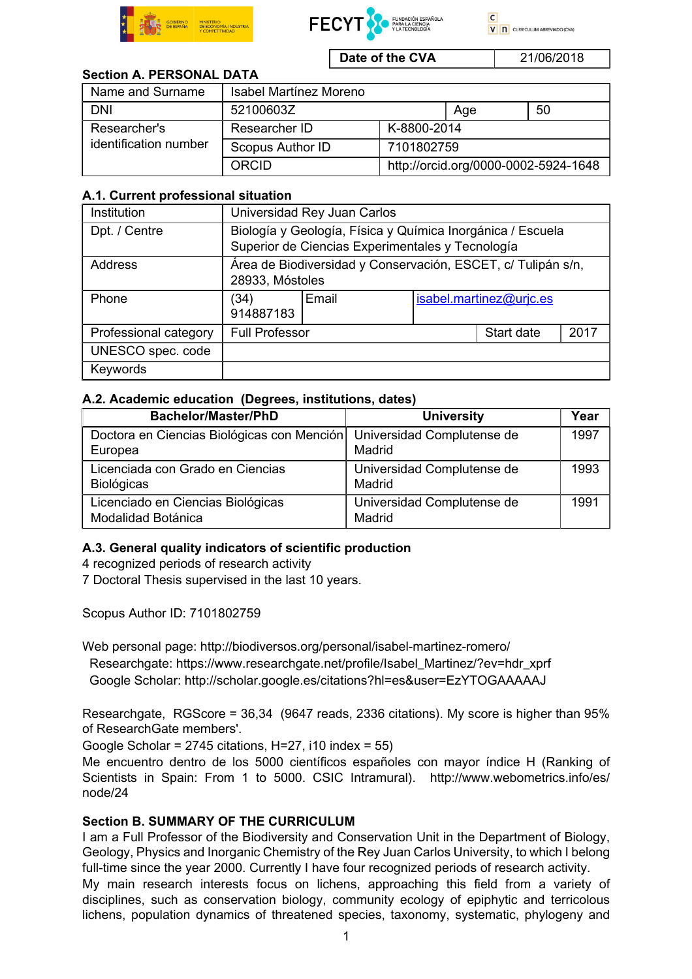



 $\overline{c}$ V n CURRICULUM ABREVIADO (CVA)

Date of the CVA 21/06/2018

# Section A. PERSONAL DATA

| Name and Surname                      | <b>Isabel Martínez Moreno</b> |                                      |     |    |
|---------------------------------------|-------------------------------|--------------------------------------|-----|----|
| <b>DNI</b>                            | 52100603Z                     |                                      | Age | 50 |
| Researcher's<br>identification number | Researcher ID                 | K-8800-2014                          |     |    |
|                                       | Scopus Author ID              | 7101802759                           |     |    |
|                                       | <b>ORCID</b>                  | http://orcid.org/0000-0002-5924-1648 |     |    |

### A.1. Current professional situation

| Institution           | Universidad Rey Juan Carlos                                                                                    |       |                         |            |      |  |
|-----------------------|----------------------------------------------------------------------------------------------------------------|-------|-------------------------|------------|------|--|
| Dpt. / Centre         | Biología y Geología, Física y Química Inorgánica / Escuela<br>Superior de Ciencias Experimentales y Tecnología |       |                         |            |      |  |
| Address               | Área de Biodiversidad y Conservación, ESCET, c/ Tulipán s/n,<br>28933, Móstoles                                |       |                         |            |      |  |
| Phone                 | (34)                                                                                                           | Email | isabel.martinez@urjc.es |            |      |  |
|                       | 914887183                                                                                                      |       |                         |            |      |  |
| Professional category | <b>Full Professor</b>                                                                                          |       |                         | Start date | 2017 |  |
| UNESCO spec. code     |                                                                                                                |       |                         |            |      |  |
| Keywords              |                                                                                                                |       |                         |            |      |  |

### A.2. Academic education (Degrees, institutions, dates)

| <b>Bachelor/Master/PhD</b>                                            | <b>University</b>          | Year |
|-----------------------------------------------------------------------|----------------------------|------|
| Doctora en Ciencias Biológicas con Mención Universidad Complutense de |                            | 1997 |
| Europea                                                               | Madrid                     |      |
| Licenciada con Grado en Ciencias                                      | Universidad Complutense de | 1993 |
| <b>Biológicas</b>                                                     | Madrid                     |      |
| Licenciado en Ciencias Biológicas                                     | Universidad Complutense de | 1991 |
| Modalidad Botánica                                                    | Madrid                     |      |

## A.3. General quality indicators of scientific production

4 recognized periods of research activity

7 Doctoral Thesis supervised in the last 10 years.

Scopus Author ID: 7101802759

Web personal page: http://biodiversos.org/personal/isabel-martinez-romero/ Researchgate: https://www.researchgate.net/profile/Isabel\_Martinez/?ev=hdr\_xprf Google Scholar: http://scholar.google.es/citations?hl=es&user=EzYTOGAAAAAJ

Researchgate, RGScore = 36,34 (9647 reads, 2336 citations). My score is higher than 95% of ResearchGate members'.

Google Scholar =  $2745$  citations, H=27, i10 index =  $55$ )

Me encuentro dentro de los 5000 científicos españoles con mayor índice H (Ranking of Scientists in Spain: From 1 to 5000. CSIC Intramural). http://www.webometrics.info/es/ node/24

#### Section B. SUMMARY OF THE CURRICULUM

I am a Full Professor of the Biodiversity and Conservation Unit in the Department of Biology, Geology, Physics and Inorganic Chemistry of the Rey Juan Carlos University, to which I belong full-time since the year 2000. Currently I have four recognized periods of research activity. My main research interests focus on lichens, approaching this field from a variety of disciplines, such as conservation biology, community ecology of epiphytic and terricolous lichens, population dynamics of threatened species, taxonomy, systematic, phylogeny and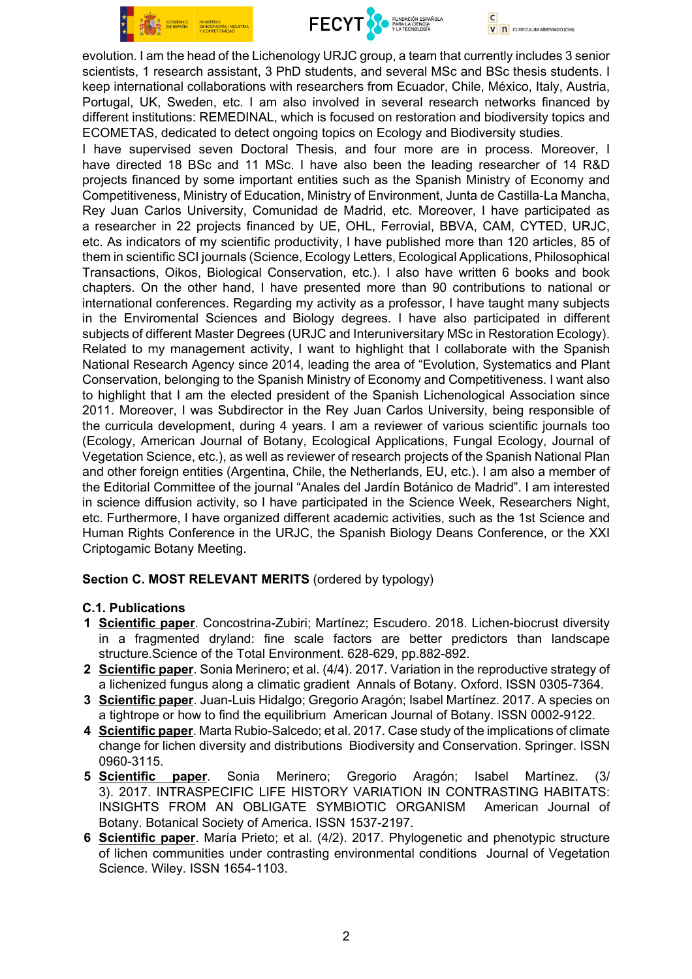



 $\overline{c}$ V n CURRICULUM ABREVIADO (CVA)

evolution. I am the head of the Lichenology URJC group, a team that currently includes 3 senior scientists, 1 research assistant, 3 PhD students, and several MSc and BSc thesis students. I keep international collaborations with researchers from Ecuador, Chile, México, Italy, Austria, Portugal, UK, Sweden, etc. I am also involved in several research networks financed by different institutions: REMEDINAL, which is focused on restoration and biodiversity topics and ECOMETAS, dedicated to detect ongoing topics on Ecology and Biodiversity studies.

I have supervised seven Doctoral Thesis, and four more are in process. Moreover, I have directed 18 BSc and 11 MSc. I have also been the leading researcher of 14 R&D projects financed by some important entities such as the Spanish Ministry of Economy and Competitiveness, Ministry of Education, Ministry of Environment, Junta de Castilla-La Mancha, Rey Juan Carlos University, Comunidad de Madrid, etc. Moreover, I have participated as a researcher in 22 projects financed by UE, OHL, Ferrovial, BBVA, CAM, CYTED, URJC, etc. As indicators of my scientific productivity, I have published more than 120 articles, 85 of them in scientific SCI journals (Science, Ecology Letters, Ecological Applications, Philosophical Transactions, Oikos, Biological Conservation, etc.). I also have written 6 books and book chapters. On the other hand, I have presented more than 90 contributions to national or international conferences. Regarding my activity as a professor, I have taught many subjects in the Enviromental Sciences and Biology degrees. I have also participated in different subjects of different Master Degrees (URJC and Interuniversitary MSc in Restoration Ecology). Related to my management activity, I want to highlight that I collaborate with the Spanish National Research Agency since 2014, leading the area of "Evolution, Systematics and Plant Conservation, belonging to the Spanish Ministry of Economy and Competitiveness. I want also to highlight that I am the elected president of the Spanish Lichenological Association since 2011. Moreover, I was Subdirector in the Rey Juan Carlos University, being responsible of the curricula development, during 4 years. I am a reviewer of various scientific journals too (Ecology, American Journal of Botany, Ecological Applications, Fungal Ecology, Journal of Vegetation Science, etc.), as well as reviewer of research projects of the Spanish National Plan and other foreign entities (Argentina, Chile, the Netherlands, EU, etc.). I am also a member of the Editorial Committee of the journal "Anales del Jardín Botánico de Madrid". I am interested in science diffusion activity, so I have participated in the Science Week, Researchers Night, etc. Furthermore, I have organized different academic activities, such as the 1st Science and Human Rights Conference in the URJC, the Spanish Biology Deans Conference, or the XXI Criptogamic Botany Meeting.

#### Section C. MOST RELEVANT MERITS (ordered by typology)

#### C.1. Publications

- 1 Scientific paper. Concostrina-Zubiri; Martínez; Escudero. 2018. Lichen-biocrust diversity in a fragmented dryland: fine scale factors are better predictors than landscape structure.Science of the Total Environment. 628-629, pp.882-892.
- 2 Scientific paper. Sonia Merinero; et al. (4/4). 2017. Variation in the reproductive strategy of a lichenized fungus along a climatic gradient Annals of Botany. Oxford. ISSN 0305-7364.
- 3 Scientific paper. Juan-Luis Hidalgo; Gregorio Aragón; Isabel Martínez. 2017. A species on a tightrope or how to find the equilibrium American Journal of Botany. ISSN 0002-9122.
- 4 Scientific paper. Marta Rubio-Salcedo; et al. 2017. Case study of the implications of climate change for lichen diversity and distributions Biodiversity and Conservation. Springer. ISSN 0960-3115.
- 5 Scientific paper. Sonia Merinero; Gregorio Aragón; Isabel Martínez. (3/ 3). 2017. INTRASPECIFIC LIFE HISTORY VARIATION IN CONTRASTING HABITATS: INSIGHTS FROM AN OBLIGATE SYMBIOTIC ORGANISM American Journal of Botany. Botanical Society of America. ISSN 1537-2197.
- 6 Scientific paper. María Prieto; et al. (4/2). 2017. Phylogenetic and phenotypic structure of lichen communities under contrasting environmental conditions Journal of Vegetation Science. Wiley. ISSN 1654-1103.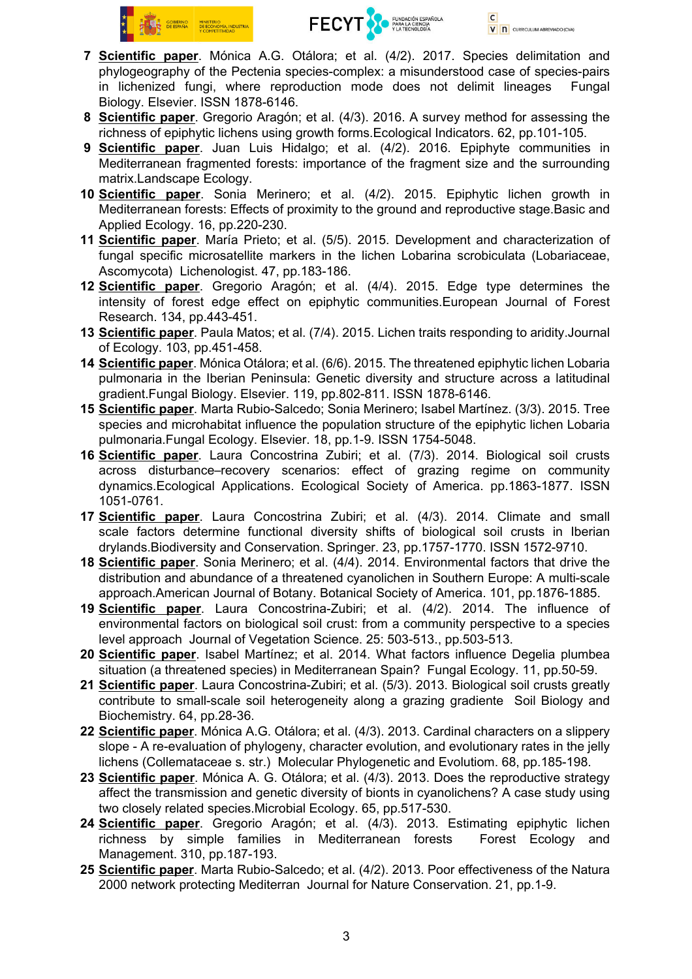



- 7 Scientific paper. Mónica A.G. Otálora; et al. (4/2). 2017. Species delimitation and phylogeography of the Pectenia species-complex: a misunderstood case of species-pairs in lichenized fungi, where reproduction mode does not delimit lineages Fungal Biology. Elsevier. ISSN 1878-6146.
- 8 Scientific paper. Gregorio Aragón; et al. (4/3). 2016. A survey method for assessing the richness of epiphytic lichens using growth forms.Ecological Indicators. 62, pp.101-105.
- 9 Scientific paper. Juan Luis Hidalgo; et al. (4/2). 2016. Epiphyte communities in Mediterranean fragmented forests: importance of the fragment size and the surrounding matrix.Landscape Ecology.
- 10 Scientific paper. Sonia Merinero; et al. (4/2). 2015. Epiphytic lichen growth in Mediterranean forests: Effects of proximity to the ground and reproductive stage.Basic and Applied Ecology. 16, pp.220-230.
- 11 Scientific paper. María Prieto; et al. (5/5). 2015. Development and characterization of fungal specific microsatellite markers in the lichen Lobarina scrobiculata (Lobariaceae, Ascomycota) Lichenologist. 47, pp.183-186.
- 12 Scientific paper. Gregorio Aragón; et al. (4/4). 2015. Edge type determines the intensity of forest edge effect on epiphytic communities.European Journal of Forest Research. 134, pp.443-451.
- 13 Scientific paper. Paula Matos; et al. (7/4). 2015. Lichen traits responding to aridity. Journal of Ecology. 103, pp.451-458.
- 14 Scientific paper. Mónica Otálora; et al. (6/6). 2015. The threatened epiphytic lichen Lobaria pulmonaria in the Iberian Peninsula: Genetic diversity and structure across a latitudinal gradient.Fungal Biology. Elsevier. 119, pp.802-811. ISSN 1878-6146.
- 15 Scientific paper. Marta Rubio-Salcedo; Sonia Merinero; Isabel Martínez. (3/3). 2015. Tree species and microhabitat influence the population structure of the epiphytic lichen Lobaria pulmonaria.Fungal Ecology. Elsevier. 18, pp.1-9. ISSN 1754-5048.
- 16 Scientific paper. Laura Concostrina Zubiri; et al. (7/3). 2014. Biological soil crusts across disturbance–recovery scenarios: effect of grazing regime on community dynamics.Ecological Applications. Ecological Society of America. pp.1863-1877. ISSN 1051-0761.
- 17 Scientific paper. Laura Concostrina Zubiri; et al. (4/3). 2014. Climate and small scale factors determine functional diversity shifts of biological soil crusts in Iberian drylands.Biodiversity and Conservation. Springer. 23, pp.1757-1770. ISSN 1572-9710.
- 18 Scientific paper. Sonia Merinero; et al. (4/4). 2014. Environmental factors that drive the distribution and abundance of a threatened cyanolichen in Southern Europe: A multi-scale approach.American Journal of Botany. Botanical Society of America. 101, pp.1876-1885.
- 19 Scientific paper. Laura Concostrina-Zubiri; et al. (4/2). 2014. The influence of environmental factors on biological soil crust: from a community perspective to a species level approach Journal of Vegetation Science. 25: 503-513., pp.503-513.
- 20 Scientific paper. Isabel Martínez; et al. 2014. What factors influence Degelia plumbea situation (a threatened species) in Mediterranean Spain? Fungal Ecology. 11, pp.50-59.
- 21 Scientific paper. Laura Concostrina-Zubiri; et al. (5/3). 2013. Biological soil crusts greatly contribute to small-scale soil heterogeneity along a grazing gradiente Soil Biology and Biochemistry. 64, pp.28-36.
- 22 Scientific paper. Mónica A.G. Otálora; et al. (4/3). 2013. Cardinal characters on a slippery slope - A re-evaluation of phylogeny, character evolution, and evolutionary rates in the jelly lichens (Collemataceae s. str.) Molecular Phylogenetic and Evolutiom. 68, pp.185-198.
- 23 Scientific paper. Mónica A. G. Otálora; et al. (4/3). 2013. Does the reproductive strategy affect the transmission and genetic diversity of bionts in cyanolichens? A case study using two closely related species.Microbial Ecology. 65, pp.517-530.
- 24 Scientific paper. Gregorio Aragón; et al. (4/3). 2013. Estimating epiphytic lichen richness by simple families in Mediterranean forests Forest Ecology and Management. 310, pp.187-193.
- 25 Scientific paper. Marta Rubio-Salcedo; et al. (4/2). 2013. Poor effectiveness of the Natura 2000 network protecting Mediterran Journal for Nature Conservation. 21, pp.1-9.